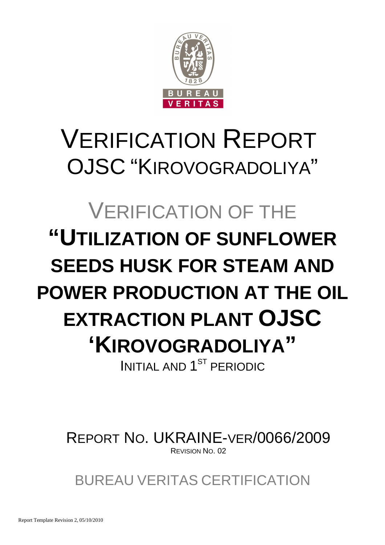

# VERIFICATION REPORT OJSC "KIROVOGRADOLIYA"

# VERIFICATION OF THE **"UTILIZATION OF SUNFLOWER SEEDS HUSK FOR STEAM AND POWER PRODUCTION AT THE OIL EXTRACTION PLANT OJSC 'KIROVOGRADOLIYA"**  INITIAL AND 1<sup>ST</sup> PERIODIC

REPORT NO. UKRAINE-VER/0066/2009 REVISION NO. 02

BUREAU VERITAS CERTIFICATION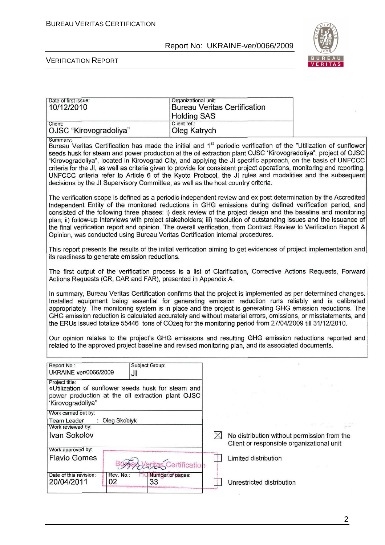

| Date of first issue:<br>10/12/2010                                                                                                                                                                                                                                                                                                                                                                                                                                                                                                                                                                                                                                                                  |                                                                                                                                                                                                                                                                                                                                                                                                                                                                                                                                                                                                                                                                           | Organizational unit:   |           | <b>Bureau Veritas Certification</b>                                                                     |                                                                                                                                                                                                                                                                                                                                                                                                                                                       |  |  |
|-----------------------------------------------------------------------------------------------------------------------------------------------------------------------------------------------------------------------------------------------------------------------------------------------------------------------------------------------------------------------------------------------------------------------------------------------------------------------------------------------------------------------------------------------------------------------------------------------------------------------------------------------------------------------------------------------------|---------------------------------------------------------------------------------------------------------------------------------------------------------------------------------------------------------------------------------------------------------------------------------------------------------------------------------------------------------------------------------------------------------------------------------------------------------------------------------------------------------------------------------------------------------------------------------------------------------------------------------------------------------------------------|------------------------|-----------|---------------------------------------------------------------------------------------------------------|-------------------------------------------------------------------------------------------------------------------------------------------------------------------------------------------------------------------------------------------------------------------------------------------------------------------------------------------------------------------------------------------------------------------------------------------------------|--|--|
|                                                                                                                                                                                                                                                                                                                                                                                                                                                                                                                                                                                                                                                                                                     |                                                                                                                                                                                                                                                                                                                                                                                                                                                                                                                                                                                                                                                                           | <b>Holding SAS</b>     |           |                                                                                                         |                                                                                                                                                                                                                                                                                                                                                                                                                                                       |  |  |
| Client:                                                                                                                                                                                                                                                                                                                                                                                                                                                                                                                                                                                                                                                                                             |                                                                                                                                                                                                                                                                                                                                                                                                                                                                                                                                                                                                                                                                           | Client ref.:           |           |                                                                                                         |                                                                                                                                                                                                                                                                                                                                                                                                                                                       |  |  |
| OJSC "Kirovogradoliya"                                                                                                                                                                                                                                                                                                                                                                                                                                                                                                                                                                                                                                                                              |                                                                                                                                                                                                                                                                                                                                                                                                                                                                                                                                                                                                                                                                           | Oleg Katrych           |           |                                                                                                         |                                                                                                                                                                                                                                                                                                                                                                                                                                                       |  |  |
| Summary:<br>Bureau Veritas Certification has made the initial and 1 <sup>st</sup> periodic verification of the "Utilization of sunflower<br>seeds husk for steam and power production at the oil extraction plant OJSC 'Kirovogradoliya", project of OJSC<br>"Kirovogradoliya", located in Kirovograd City, and applying the JI specific approach, on the basis of UNFCCC<br>criteria for the JI, as well as criteria given to provide for consistent project operations, monitoring and reporting.<br>UNFCCC criteria refer to Article 6 of the Kyoto Protocol, the JI rules and modalities and the subsequent<br>decisions by the JI Supervisory Committee, as well as the host country criteria. |                                                                                                                                                                                                                                                                                                                                                                                                                                                                                                                                                                                                                                                                           |                        |           |                                                                                                         |                                                                                                                                                                                                                                                                                                                                                                                                                                                       |  |  |
|                                                                                                                                                                                                                                                                                                                                                                                                                                                                                                                                                                                                                                                                                                     | The verification scope is defined as a periodic independent review and ex post determination by the Accredited<br>Independent Entity of the monitored reductions in GHG emissions during defined verification period, and<br>consisted of the following three phases: i) desk review of the project design and the baseline and monitoring<br>plan; ii) follow-up interviews with project stakeholders; iii) resolution of outstanding issues and the issuance of<br>the final verification report and opinion. The overall verification, from Contract Review to Verification Report &<br>Opinion, was conducted using Bureau Veritas Certification internal procedures. |                        |           |                                                                                                         |                                                                                                                                                                                                                                                                                                                                                                                                                                                       |  |  |
| its readiness to generate emission reductions.                                                                                                                                                                                                                                                                                                                                                                                                                                                                                                                                                                                                                                                      |                                                                                                                                                                                                                                                                                                                                                                                                                                                                                                                                                                                                                                                                           |                        |           |                                                                                                         | This report presents the results of the initial verification aiming to get evidences of project implementation and                                                                                                                                                                                                                                                                                                                                    |  |  |
| Actions Requests (CR, CAR and FAR), presented in Appendix A.                                                                                                                                                                                                                                                                                                                                                                                                                                                                                                                                                                                                                                        |                                                                                                                                                                                                                                                                                                                                                                                                                                                                                                                                                                                                                                                                           |                        |           |                                                                                                         | The first output of the verification process is a list of Clarification, Corrective Actions Requests, Forward                                                                                                                                                                                                                                                                                                                                         |  |  |
|                                                                                                                                                                                                                                                                                                                                                                                                                                                                                                                                                                                                                                                                                                     |                                                                                                                                                                                                                                                                                                                                                                                                                                                                                                                                                                                                                                                                           |                        |           | the ERUs issued totalize 55446 tons of CO2eq for the monitoring period from 27/04/2009 till 31/12/2010. | In summary, Bureau Veritas Certification confirms that the project is implemented as per determined changes.<br>Installed equipment being essential for generating emission reduction runs reliably and is calibrated<br>appropriately. The monitoring system is in place and the project is generating GHG emission reductions. The<br>GHG emission reduction is calculated accurately and without material errors, omissions, or misstatements, and |  |  |
|                                                                                                                                                                                                                                                                                                                                                                                                                                                                                                                                                                                                                                                                                                     |                                                                                                                                                                                                                                                                                                                                                                                                                                                                                                                                                                                                                                                                           |                        |           | related to the approved project baseline and revised monitoring plan, and its associated documents.     | Our opinion relates to the project's GHG emissions and resulting GHG emission reductions reported and                                                                                                                                                                                                                                                                                                                                                 |  |  |
| Report No.:<br>UKRAINE-ver/0066/2009                                                                                                                                                                                                                                                                                                                                                                                                                                                                                                                                                                                                                                                                | JI                                                                                                                                                                                                                                                                                                                                                                                                                                                                                                                                                                                                                                                                        | Subject Group:         |           |                                                                                                         |                                                                                                                                                                                                                                                                                                                                                                                                                                                       |  |  |
| Project title:<br>«Utilization of sunflower seeds husk for steam and<br>power production at the oil extraction plant OJSC<br>'Kirovogradoliya"                                                                                                                                                                                                                                                                                                                                                                                                                                                                                                                                                      |                                                                                                                                                                                                                                                                                                                                                                                                                                                                                                                                                                                                                                                                           |                        |           |                                                                                                         |                                                                                                                                                                                                                                                                                                                                                                                                                                                       |  |  |
| Work carried out by:                                                                                                                                                                                                                                                                                                                                                                                                                                                                                                                                                                                                                                                                                |                                                                                                                                                                                                                                                                                                                                                                                                                                                                                                                                                                                                                                                                           |                        |           |                                                                                                         |                                                                                                                                                                                                                                                                                                                                                                                                                                                       |  |  |
| <b>Team Leader</b><br>Work reviewed by:                                                                                                                                                                                                                                                                                                                                                                                                                                                                                                                                                                                                                                                             | Oleg Skoblyk                                                                                                                                                                                                                                                                                                                                                                                                                                                                                                                                                                                                                                                              |                        |           |                                                                                                         | 그는 그만 그만 그만 잘 잘 먹고 있다.                                                                                                                                                                                                                                                                                                                                                                                                                                |  |  |
| <b>Ivan Sokolov</b>                                                                                                                                                                                                                                                                                                                                                                                                                                                                                                                                                                                                                                                                                 |                                                                                                                                                                                                                                                                                                                                                                                                                                                                                                                                                                                                                                                                           |                        | $\bowtie$ | No distribution without permission from the<br>Client or responsible organizational unit                |                                                                                                                                                                                                                                                                                                                                                                                                                                                       |  |  |
| Work approved by:<br><b>Flavio Gomes</b>                                                                                                                                                                                                                                                                                                                                                                                                                                                                                                                                                                                                                                                            |                                                                                                                                                                                                                                                                                                                                                                                                                                                                                                                                                                                                                                                                           | ertification           | -18       | Limited distribution                                                                                    |                                                                                                                                                                                                                                                                                                                                                                                                                                                       |  |  |
| Date of this revision:<br>20/04/2011                                                                                                                                                                                                                                                                                                                                                                                                                                                                                                                                                                                                                                                                | Rev. No.:<br>02                                                                                                                                                                                                                                                                                                                                                                                                                                                                                                                                                                                                                                                           | Number of pages:<br>33 |           | Unrestricted distribution                                                                               |                                                                                                                                                                                                                                                                                                                                                                                                                                                       |  |  |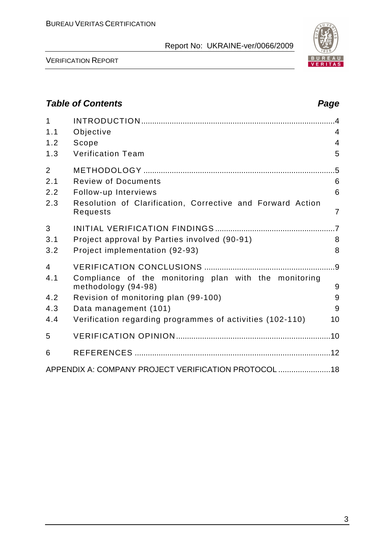

VERIFICATION REPORT

# **Table of Contents Page 2018** 1 INTRODUCTION .........................................................................................4 1.1 Objective 4 1.2 Scope 4 1.3 Verification Team 5 2 METHODOLOGY ........................................................................................5 2.1 Review of Documents 6 2.2 Follow-up Interviews 6 2.3 Resolution of Clarification, Corrective and Forward Action Requests 7 3 INITIAL VERIFICATION FINDINGS .......................................................7 3.1 Project approval by Parties involved (90-91) 8 3.2 Project implementation (92-93) 8 4 VERIFICATION CONCLUSIONS ............................................................9 4.1 Compliance of the monitoring plan with the monitoring methodology (94-98) 9 4.2 Revision of monitoring plan (99-100) 9 4.3 Data management (101) 9 4.4 Verification regarding programmes of activities (102-110) 10 5 VERIFICATION OPINION .......................................................................10 6 REFERENCES ..........................................................................................12 APPENDIX A: COMPANY PROJECT VERIFICATION PROTOCOL ........................18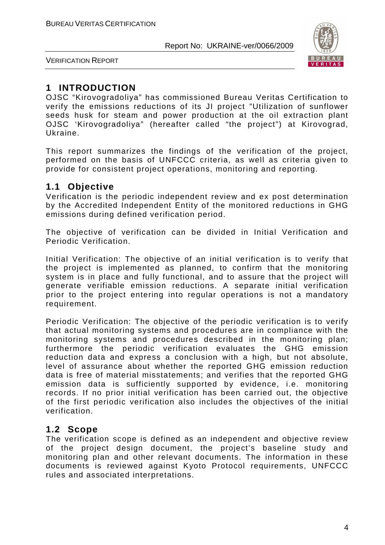

VERIFICATION REPORT

# **1 INTRODUCTION**

OJSC "Kirovogradoliya" has commissioned Bureau Veritas Certification to verify the emissions reductions of its JI project "Utilization of sunflower seeds husk for steam and power production at the oil extraction plant OJSC 'Kirovogradoliya" (hereafter called "the project") at Kirovograd, Ukraine.

This report summarizes the findings of the verification of the project, performed on the basis of UNFCCC criteria, as well as criteria given to provide for consistent project operations, monitoring and reporting.

#### **1.1 Objective**

Verification is the periodic independent review and ex post determination by the Accredited Independent Entity of the monitored reductions in GHG emissions during defined verification period.

The objective of verification can be divided in Initial Verification and Periodic Verification.

Initial Verification: The objective of an initial verification is to verify that the project is implemented as planned, to confirm that the monitoring system is in place and fully functional, and to assure that the project will generate verifiable emission reductions. A separate initial verification prior to the project entering into regular operations is not a mandatory requirement.

Periodic Verification: The objective of the periodic verification is to verify that actual monitoring systems and procedures are in compliance with the monitoring systems and procedures described in the monitoring plan; furthermore the periodic verification evaluates the GHG emission reduction data and express a conclusion with a high, but not absolute, level of assurance about whether the reported GHG emission reduction data is free of material misstatements; and verifies that the reported GHG emission data is sufficiently supported by evidence, i.e. monitoring records. If no prior initial verification has been carried out, the objective of the first periodic verification also includes the objectives of the initial verification.

#### **1.2 Scope**

The verification scope is defined as an independent and objective review of the project design document, the project's baseline study and monitoring plan and other relevant documents. The information in these documents is reviewed against Kyoto Protocol requirements, UNFCCC rules and associated interpretations.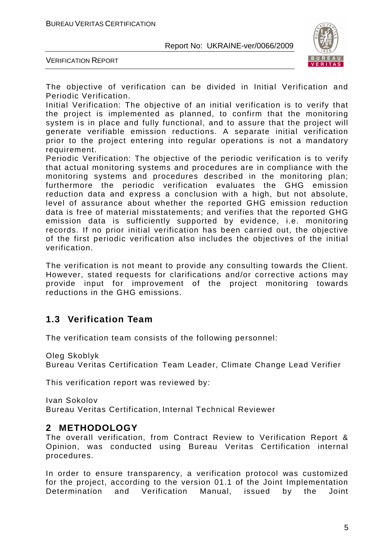

VERIFICATION REPORT

The objective of verification can be divided in Initial Verification and Periodic Verification.

Initial Verification: The objective of an initial verification is to verify that the project is implemented as planned, to confirm that the monitoring system is in place and fully functional, and to assure that the project will generate verifiable emission reductions. A separate initial verification prior to the project entering into regular operations is not a mandatory requirement.

Periodic Verification: The objective of the periodic verification is to verify that actual monitoring systems and procedures are in compliance with the monitoring systems and procedures described in the monitoring plan; furthermore the periodic verification evaluates the GHG emission reduction data and express a conclusion with a high, but not absolute, level of assurance about whether the reported GHG emission reduction data is free of material misstatements; and verifies that the reported GHG emission data is sufficiently supported by evidence, i.e. monitoring records. If no prior initial verification has been carried out, the objective of the first periodic verification also includes the objectives of the initial verification.

The verification is not meant to provide any consulting towards the Client. However, stated requests for clarifications and/or corrective actions may provide input for improvement of the project monitoring towards reductions in the GHG emissions.

### **1.3 Verification Team**

The verification team consists of the following personnel:

Oleg Skoblyk

Bureau Veritas Certification Team Leader, Climate Change Lead Verifier

This verification report was reviewed by:

Ivan Sokolov Bureau Veritas Certification, Internal Technical Reviewer

#### **2 METHODOLOGY**

The overall verification, from Contract Review to Verification Report & Opinion, was conducted using Bureau Veritas Certification internal procedures.

In order to ensure transparency, a verification protocol was customized for the project, according to the version 01.1 of the Joint Implementation Determination and Verification Manual, issued by the Joint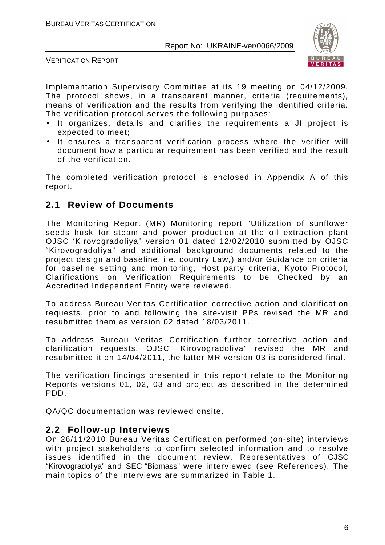

VERIFICATION REPORT

Implementation Supervisory Committee at its 19 meeting on 04/12/2009. The protocol shows, in a transparent manner, criteria (requirements), means of verification and the results from verifying the identified criteria. The verification protocol serves the following purposes:

- It organizes, details and clarifies the requirements a JI project is expected to meet;
- It ensures a transparent verification process where the verifier will document how a particular requirement has been verified and the result of the verification.

The completed verification protocol is enclosed in Appendix A of this report.

#### **2.1 Review of Documents**

The Monitoring Report (MR) Monitoring report "Utilization of sunflower seeds husk for steam and power production at the oil extraction plant OJSC 'Kirovogradoliya" version 01 dated 12/02/2010 submitted by OJSC "Kirovogradoliya" and additional background documents related to the project design and baseline, i.e. country Law,) and/or Guidance on criteria for baseline setting and monitoring, Host party criteria, Kyoto Protocol, Clarifications on Verification Requirements to be Checked by an Accredited Independent Entity were reviewed.

To address Bureau Veritas Certification corrective action and clarification requests, prior to and following the site-visit PPs revised the MR and resubmitted them as version 02 dated 18/03/2011.

To address Bureau Veritas Certification further corrective action and clarification requests, OJSC "Kirovogradoliya" revised the MR and resubmitted it on 14/04/2011, the latter MR version 03 is considered final.

The verification findings presented in this report relate to the Monitoring Reports versions 01, 02, 03 and project as described in the determined PDD.

QA/QC documentation was reviewed onsite.

#### **2.2 Follow-up Interviews**

On 26/11/2010 Bureau Veritas Certification performed (on-site) interviews with project stakeholders to confirm selected information and to resolve issues identified in the document review. Representatives of OJSC "Kirovogradoliya" and SEC "Biomass" were interviewed (see References). The main topics of the interviews are summarized in Table 1.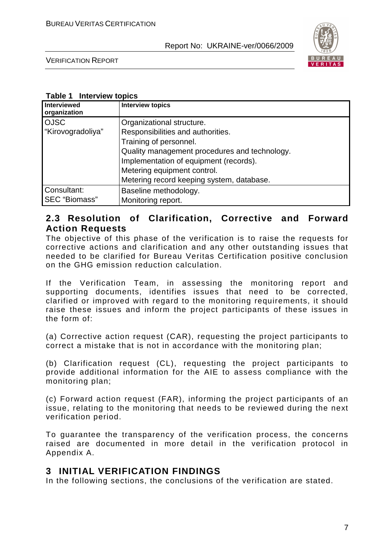

VERIFICATION REPORT

#### **Table 1 Interview topics**

| Interviewed<br>organization         | <b>Interview topics</b>                                                                                                                                                                                                                                         |
|-------------------------------------|-----------------------------------------------------------------------------------------------------------------------------------------------------------------------------------------------------------------------------------------------------------------|
| <b>OJSC</b><br>"Kirovogradoliya"    | Organizational structure.<br>Responsibilities and authorities.<br>Training of personnel.<br>Quality management procedures and technology.<br>Implementation of equipment (records).<br>Metering equipment control.<br>Metering record keeping system, database. |
| Consultant:<br><b>SEC</b> "Biomass" | Baseline methodology.<br>Monitoring report.                                                                                                                                                                                                                     |

### **2.3 Resolution of Clarification, Corrective and Forward Action Requests**

The objective of this phase of the verification is to raise the requests for corrective actions and clarification and any other outstanding issues that needed to be clarified for Bureau Veritas Certification positive conclusion on the GHG emission reduction calculation.

If the Verification Team, in assessing the monitoring report and supporting documents, identifies issues that need to be corrected, clarified or improved with regard to the monitoring requirements, it should raise these issues and inform the project participants of these issues in the form of:

(a) Corrective action request (CAR), requesting the project participants to correct a mistake that is not in accordance with the monitoring plan;

(b) Clarification request (CL), requesting the project participants to provide additional information for the AIE to assess compliance with the monitoring plan;

(c) Forward action request (FAR), informing the project participants of an issue, relating to the monitoring that needs to be reviewed during the next verification period.

To guarantee the transparency of the verification process, the concerns raised are documented in more detail in the verification protocol in Appendix A.

### **3 INITIAL VERIFICATION FINDINGS**

In the following sections, the conclusions of the verification are stated.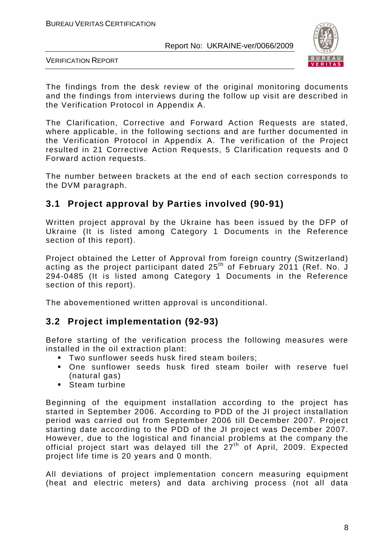

VERIFICATION REPORT

The findings from the desk review of the original monitoring documents and the findings from interviews during the follow up visit are described in the Verification Protocol in Appendix A.

The Clarification, Corrective and Forward Action Requests are stated, where applicable, in the following sections and are further documented in the Verification Protocol in Appendix A. The verification of the Project resulted in 21 Corrective Action Requests, 5 Clarification requests and 0 Forward action requests.

The number between brackets at the end of each section corresponds to the DVM paragraph.

# **3.1 Project approval by Parties involved (90-91)**

Written project approval by the Ukraine has been issued by the DFP of Ukraine (It is listed among Category 1 Documents in the Reference section of this report).

Project obtained the Letter of Approval from foreign country (Switzerland) acting as the project participant dated  $25<sup>th</sup>$  of February 2011 (Ref. No. J 294-0485 (It is listed among Category 1 Documents in the Reference section of this report).

The abovementioned written approval is unconditional.

### **3.2 Project implementation (92-93)**

Before starting of the verification process the following measures were installed in the oil extraction plant:

- **Two sunflower seeds husk fired steam boilers:**
- One sunflower seeds husk fired steam boiler with reserve fuel (natural gas)
- **Steam turbine**

Beginning of the equipment installation according to the project has started in September 2006. According to PDD of the JI project installation period was carried out from September 2006 till December 2007. Project starting date according to the PDD of the JI project was December 2007. However, due to the logistical and financial problems at the company the official project start was delayed till the  $27<sup>th</sup>$  of April, 2009. Expected project life time is 20 years and 0 month.

All deviations of project implementation concern measuring equipment (heat and electric meters) and data archiving process (not all data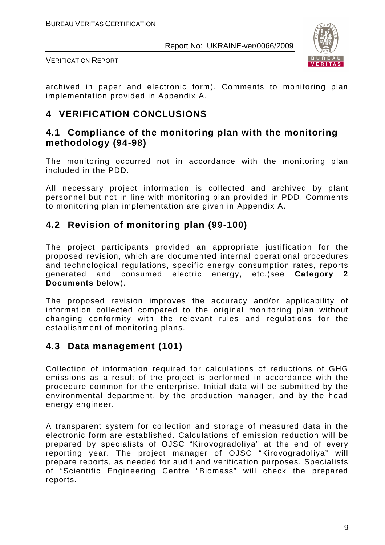

VERIFICATION REPORT

archived in paper and electronic form). Comments to monitoring plan implementation provided in Appendix A.

# **4 VERIFICATION CONCLUSIONS**

# **4.1 Compliance of the monitoring plan with the monitoring methodology (94-98)**

The monitoring occurred not in accordance with the monitoring plan included in the PDD.

All necessary project information is collected and archived by plant personnel but not in line with monitoring plan provided in PDD. Comments to monitoring plan implementation are given in Appendix A.

### **4.2 Revision of monitoring plan (99-100)**

The project participants provided an appropriate justification for the proposed revision, which are documented internal operational procedures and technological regulations, specific energy consumption rates, reports generated and consumed electric energy, etc.(see **Category 2 Documents** below).

The proposed revision improves the accuracy and/or applicability of information collected compared to the original monitoring plan without changing conformity with the relevant rules and regulations for the establishment of monitoring plans.

# **4.3 Data management (101)**

Collection of information required for calculations of reductions of GHG emissions as a result of the project is performed in accordance with the procedure common for the enterprise. Initial data will be submitted by the environmental department, by the production manager, and by the head energy engineer.

A transparent system for collection and storage of measured data in the electronic form are established. Calculations of emission reduction will be prepared by specialists of OJSC "Kirovogradoliya" at the end of every reporting year. The project manager of OJSC "Kirovogradoliya" will prepare reports, as needed for audit and verification purposes. Specialists of "Scientific Engineering Centre "Biomass" will check the prepared reports.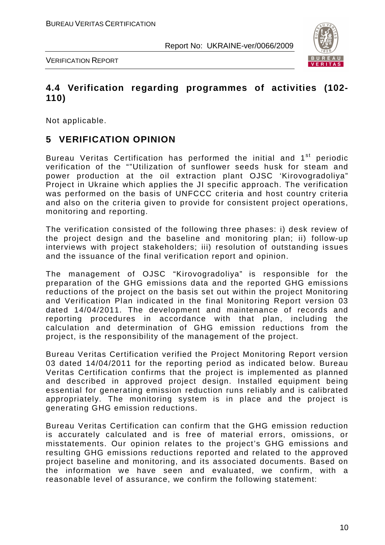

VERIFICATION REPORT

## **4.4 Verification regarding programmes of activities (102- 110)**

Not applicable.

# **5 VERIFICATION OPINION**

Bureau Veritas Certification has performed the initial and 1<sup>st</sup> periodic verification of the ""Utilization of sunflower seeds husk for steam and power production at the oil extraction plant OJSC 'Kirovogradoliya" Project in Ukraine which applies the JI specific approach. The verification was performed on the basis of UNFCCC criteria and host country criteria and also on the criteria given to provide for consistent project operations, monitoring and reporting.

The verification consisted of the following three phases: i) desk review of the project design and the baseline and monitoring plan; ii) follow-up interviews with project stakeholders; iii) resolution of outstanding issues and the issuance of the final verification report and opinion.

The management of OJSC "Kirovogradoliya" is responsible for the preparation of the GHG emissions data and the reported GHG emissions reductions of the project on the basis set out within the project Monitoring and Verification Plan indicated in the final Monitoring Report version 03 dated 14/04/2011. The development and maintenance of records and reporting procedures in accordance with that plan, including the calculation and determination of GHG emission reductions from the project, is the responsibility of the management of the project.

Bureau Veritas Certification verified the Project Monitoring Report version 03 dated 14/04/2011 for the reporting period as indicated below. Bureau Veritas Certification confirms that the project is implemented as planned and described in approved project design. Installed equipment being essential for generating emission reduction runs reliably and is calibrated appropriately. The monitoring system is in place and the project is generating GHG emission reductions.

Bureau Veritas Certification can confirm that the GHG emission reduction is accurately calculated and is free of material errors, omissions, or misstatements. Our opinion relates to the project's GHG emissions and resulting GHG emissions reductions reported and related to the approved project baseline and monitoring, and its associated documents. Based on the information we have seen and evaluated, we confirm, with a reasonable level of assurance, we confirm the following statement: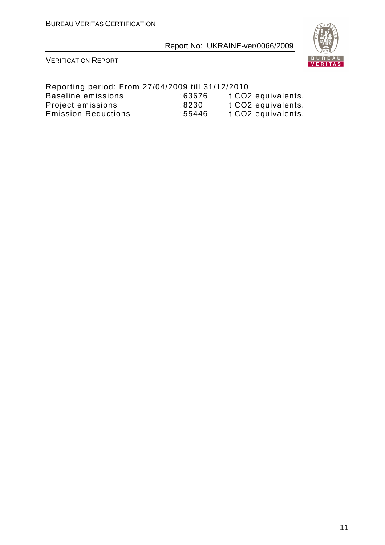

#### VERIFICATION REPORT

#### Reporting period: From 27/04/2009 till 31/12/2010 Baseline emissions : 63676 t CO2 equivalents. Project emissions : 8230 t CO2 equivalents. Emission Reductions : 55446 t CO2 equivalents.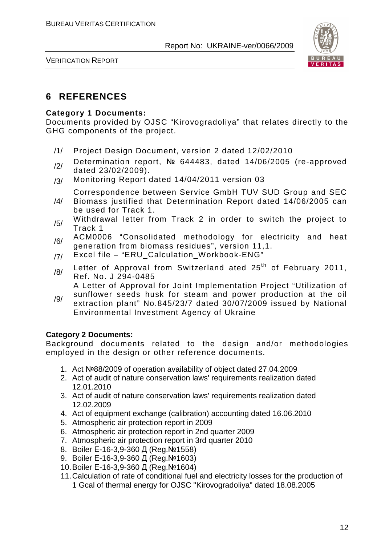

VERIFICATION REPORT

# **6 REFERENCES**

#### **Category 1 Documents:**

Documents provided by OJSC "Kirovogradoliya" that relates directly to the GHG components of the project.

- /1/ Project Design Document, version 2 dated 12/02/2010
- /2/ Determination report, № 644483, dated 14/06/2005 (re-approved dated 23/02/2009).
- /3/ Monitoring Report dated 14/04/2011 version 03

Correspondence between Service GmbH TUV SUD Group and SEC

- /4/ Biomass justified that Determination Report dated 14/06/2005 can be used for Track 1.
- $/5/$  Withdrawal letter from Track 2 in order to switch the project to Track 1
- /6/ ACM0006 "Consolidated methodology for electricity and heat generation from biomass residues", version 11,1.
- /7/ Excel file "ERU\_Calculation\_Workbook-ENG"
- $/8/$  Letter of Approval from Switzerland ated 25<sup>th</sup> of February 2011, Ref. No. J 294-0485

A Letter of Approval for Joint Implementation Project "Utilization of

/9/ sunflower seeds husk for steam and power production at the oil extraction plant" No.845/23/7 dated 30/07/2009 issued by National Environmental Investment Agency of Ukraine

#### **Category 2 Documents:**

Background documents related to the design and/or methodologies employed in the design or other reference documents.

- 1. Act №88/2009 of operation availability of object dated 27.04.2009
- 2. Act of audit of nature conservation laws' requirements realization dated 12.01.2010
- 3. Act of audit of nature conservation laws' requirements realization dated 12.02.2009
- 4. Act of equipment exchange (calibration) accounting dated 16.06.2010
- 5. Atmospheric air protection report in 2009
- 6. Atmospheric air protection report in 2nd quarter 2009
- 7. Atmospheric air protection report in 3rd quarter 2010
- 8. Boiler Е-16-3,9-360 Д (Reg.№1558)
- 9. Boiler E-16-3,9-360 Д (Reg. №1603)
- 10. Boiler Е-16-3,9-360 Д (Reg.№1604)
- 11. Calculation of rate of conditional fuel and electricity losses for the production of 1 Gcal of thermal energy for OJSC "Kirovogradoliya" dated 18.08.2005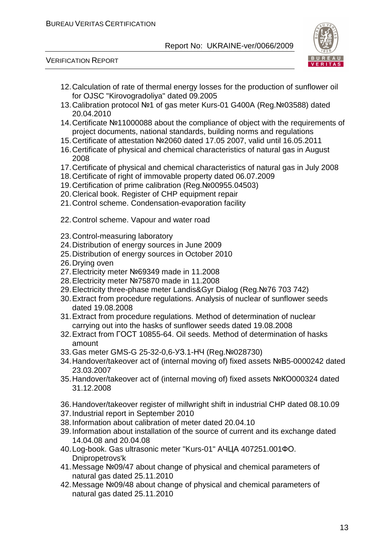

- 12. Calculation of rate of thermal energy losses for the production of sunflower oil for OJSC "Kirovogradoliya" dated 09.2005
- 13. Calibration protocol №1 of gas meter Kurs-01 G400A (Reg.№03588) dated 20.04.2010
- 14. Certificate №11000088 about the compliance of object with the requirements of project documents, national standards, building norms and regulations
- 15. Certificate of attestation №2060 dated 17.05 2007, valid until 16.05.2011
- 16. Certificate of physical and chemical characteristics of natural gas in August 2008
- 17. Certificate of physical and chemical characteristics of natural gas in July 2008
- 18. Certificate of right of immovable property dated 06.07.2009
- 19. Certification of prime calibration (Reg.№00955.04503)
- 20. Clerical book. Register of CHP equipment repair
- 21. Control scheme. Condensation-evaporation facility
- 22. Control scheme. Vapour and water road
- 23. Control-measuring laboratory
- 24. Distribution of energy sources in June 2009
- 25. Distribution of energy sources in October 2010
- 26. Drying oven
- 27. Electricity meter №69349 made in 11.2008
- 28. Electricity meter №75870 made in 11.2008
- 29. Electricity three-phase meter Landis&Gyr Dialog (Reg.№76 703 742)
- 30. Extract from procedure regulations. Analysis of nuclear of sunflower seeds dated 19.08.2008
- 31. Extract from procedure regulations. Method of determination of nuclear carrying out into the hasks of sunflower seeds dated 19.08.2008
- 32. Extract from ГОСТ 10855-64. Oil seeds. Method of determination of hasks amount
- 33. Gas meter GMS-G 25-32-0,6-УЗ.1-НЧ (Reg.№028730)
- 34. Handover/takeover act of (internal moving of) fixed assets №В5-0000242 dated 23.03.2007
- 35. Handover/takeover act of (internal moving of) fixed assets №КО000324 dated 31.12.2008
- 36. Handover/takeover register of millwright shift in industrial CHP dated 08.10.09
- 37. Industrial report in September 2010
- 38. Information about calibration of meter dated 20.04.10
- 39. Information about installation of the source of current and its exchange dated 14.04.08 and 20.04.08
- 40. Log-book. Gas ultrasonic meter "Kurs-01" АЧЦА 407251.001ФО. Dnipropetrovs'k
- 41. Message №09/47 about change of physical and chemical parameters of natural gas dated 25.11.2010
- 42. Message №09/48 about change of physical and chemical parameters of natural gas dated 25.11.2010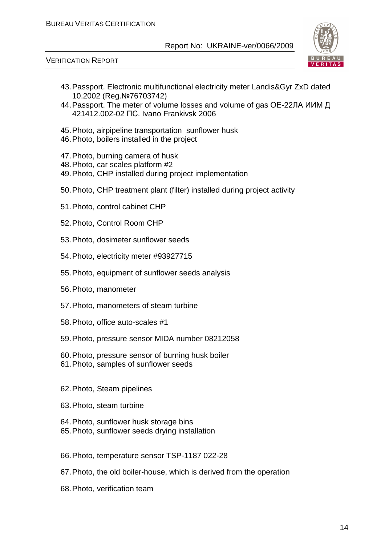



- 43. Passport. Electronic multifunctional electricity meter Landis&Gyr ZxD dated 10.2002 (Reg.№76703742)
- 44. Passport. The meter of volume losses and volume of gas ОЕ-22ЛА ИИМ Д 421412.002-02 ПС. Ivano Frankivsk 2006
- 45. Photo, airpipeline transportation sunflower husk
- 46. Photo, boilers installed in the project
- 47. Photo, burning camera of husk
- 48. Photo, car scales platform #2
- 49. Photo, CHP installed during project implementation
- 50. Photo, CHP treatment plant (filter) installed during project activity
- 51. Photo, control cabinet CHP
- 52. Photo, Control Room CHP
- 53. Photo, dosimeter sunflower seeds
- 54. Photo, electricity meter #93927715
- 55. Photo, equipment of sunflower seeds analysis
- 56. Photo, manometer
- 57. Photo, manometers of steam turbine
- 58. Photo, office auto-scales #1
- 59. Photo, pressure sensor MIDA number 08212058
- 60. Photo, pressure sensor of burning husk boiler
- 61. Photo, samples of sunflower seeds
- 62. Photo, Steam pipelines
- 63. Photo, steam turbine
- 64. Photo, sunflower husk storage bins
- 65. Photo, sunflower seeds drying installation
- 66. Photo, temperature sensor TSP-1187 022-28
- 67. Photo, the old boiler-house, which is derived from the operation
- 68. Photo, verification team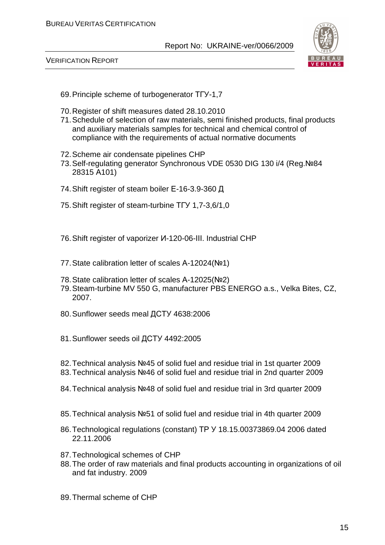



- 69. Principle scheme of turbogenerator ТГУ-1,7
- 70. Register of shift measures dated 28.10.2010
- 71. Schedule of selection of raw materials, semi finished products, final products and auxiliary materials samples for technical and chemical control of compliance with the requirements of actual normative documents
- 72. Scheme air condensate pipelines CHP
- 73. Self-regulating generator Synchronous VDE 0530 DIG 130 i/4 (Reg.№84 28315 А101)
- 74. Shift register of steam boiler Е-16-3.9-360 Д
- 75. Shift register of steam-turbine ТГУ 1,7-3,6/1,0
- 76. Shift register of vaporizer И-120-06-ІІІ. Industrial CHP
- 77. State calibration letter of scales А-12024(№1)
- 78. State calibration letter of scales А-12025(№2)
- 79. Steam-turbine MV 550 G, manufacturer PBS ENERGO a.s., Velka Bites, CZ, 2007.
- 80. Sunflower seeds meal ДСТУ 4638:2006
- 81. Sunflower seeds oil ДСТУ 4492:2005
- 82. Technical analysis №45 of solid fuel and residue trial in 1st quarter 2009
- 83. Technical analysis №46 of solid fuel and residue trial in 2nd quarter 2009
- 84. Technical analysis №48 of solid fuel and residue trial in 3rd quarter 2009
- 85. Technical analysis №51 of solid fuel and residue trial in 4th quarter 2009
- 86. Technological regulations (constant) ТР У 18.15.00373869.04 2006 dated 22.11.2006
- 87. Technological schemes of CHP
- 88. The order of raw materials and final products accounting in organizations of oil and fat industry. 2009
- 89. Thermal scheme of CHP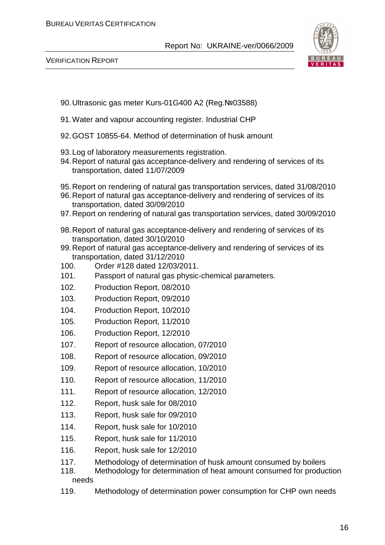

- 90. Ultrasonic gas meter Kurs-01G400 A2 (Reg.№03588)
- 91. Water and vapour accounting register. Industrial CHP
- 92. GOST 10855-64. Method of determination of husk amount
- 93. Log of laboratory measurements registration.
- 94. Report of natural gas acceptance-delivery and rendering of services of its transportation, dated 11/07/2009
- 95. Report on rendering of natural gas transportation services, dated 31/08/2010
- 96. Report of natural gas acceptance-delivery and rendering of services of its transportation, dated 30/09/2010
- 97. Report on rendering of natural gas transportation services, dated 30/09/2010
- 98. Report of natural gas acceptance-delivery and rendering of services of its transportation, dated 30/10/2010
- 99. Report of natural gas acceptance-delivery and rendering of services of its transportation, dated 31/12/2010
- 100. Order #128 dated 12/03/2011.
- 101. Passport of natural gas physic-chemical parameters.
- 102. Production Report, 08/2010
- 103. Production Report, 09/2010
- 104. Production Report, 10/2010
- 105. Production Report, 11/2010
- 106. Production Report, 12/2010
- 107. Report of resource allocation, 07/2010
- 108. Report of resource allocation, 09/2010
- 109. Report of resource allocation, 10/2010
- 110. Report of resource allocation, 11/2010
- 111. Report of resource allocation, 12/2010
- 112. Report, husk sale for 08/2010
- 113. Report, husk sale for 09/2010
- 114. Report, husk sale for 10/2010
- 115. Report, husk sale for 11/2010
- 116. Report, husk sale for 12/2010
- 117. Methodology of determination of husk amount consumed by boilers
- 118. Methodology for determination of heat amount consumed for production needs
- 119. Methodology of determination power consumption for CHP own needs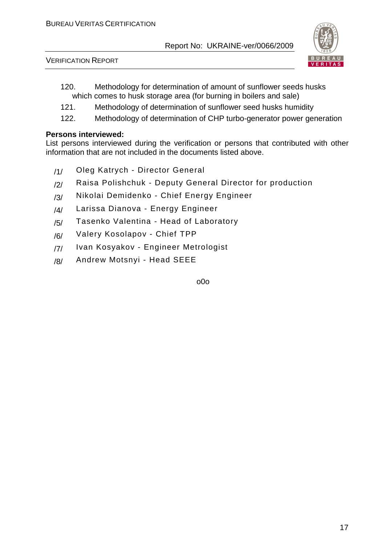

VERIFICATION REPORT

- 120. Methodology for determination of amount of sunflower seeds husks which comes to husk storage area (for burning in boilers and sale)
- 121. Methodology of determination of sunflower seed husks humidity
- 122. Methodology of determination of CHP turbo-generator power generation

#### **Persons interviewed:**

List persons interviewed during the verification or persons that contributed with other information that are not included in the documents listed above.

- /1/ Oleg Katrych Director General
- /2/ Raisa Polishchuk Deputy General Director for production
- /3/ Nikolai Demidenko Chief Energy Engineer
- /4/ Larissa Dianova Energy Engineer
- /5/ Tasenko Valentina Head of Laboratory
- /6/ Valery Kosolapov Chief TPP
- /7/ Ivan Kosyakov Engineer Metrologist
- /8/ Andrew Motsnyi Head SEEE

o0o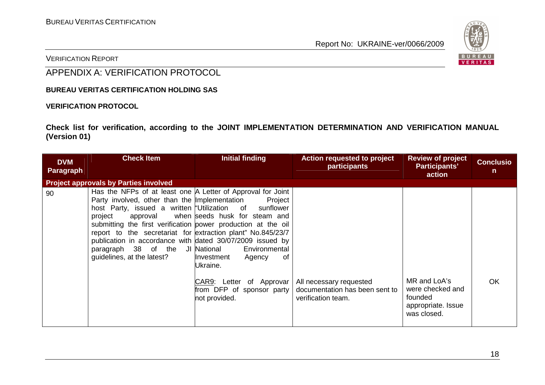

VERIFICATION REPORT

# APPENDIX A: VERIFICATION PROTOCOL

**BUREAU VERITAS CERTIFICATION HOLDING SAS** 

#### **VERIFICATION PROTOCOL**

**Check list for verification, according to the JOINT IMPLEMENTATION DETERMINATION AND VERIFICATION MANUAL (Version 01)** 

| <b>DVM</b><br>Paragraph | <b>Check Item</b>                                                                                                                                                                                                                                                                                                                                                                                                                                 | <b>Initial finding</b>                                                                                                                                                                     | <b>Action requested to project</b><br>participants                              | <b>Review of project</b><br>Participants'<br>action                              | <b>Conclusio</b><br>n |
|-------------------------|---------------------------------------------------------------------------------------------------------------------------------------------------------------------------------------------------------------------------------------------------------------------------------------------------------------------------------------------------------------------------------------------------------------------------------------------------|--------------------------------------------------------------------------------------------------------------------------------------------------------------------------------------------|---------------------------------------------------------------------------------|----------------------------------------------------------------------------------|-----------------------|
|                         | <b>Project approvals by Parties involved</b>                                                                                                                                                                                                                                                                                                                                                                                                      |                                                                                                                                                                                            |                                                                                 |                                                                                  |                       |
| 90                      | Has the NFPs of at least one A Letter of Approval for Joint<br>Party involved, other than the Implementation<br>host Party, issued a written "Utilization of<br>project<br>approval<br>submitting the first verification power production at the oil<br>report to the secretariat for extraction plant" No.845/23/7<br>publication in accordance with dated 30/07/2009 issued by<br>paragraph 38 of the JI National<br>guidelines, at the latest? | Project<br>sunflower<br>when seeds husk for steam and<br>Environmental<br>Investment<br>0f<br>Agency<br>Ukraine.<br>CAR9: Letter of Approvar<br>from DFP of sponsor party<br>not provided. | All necessary requested<br>documentation has been sent to<br>verification team. | MR and LoA's<br>were checked and<br>founded<br>appropriate. Issue<br>was closed. | <b>OK</b>             |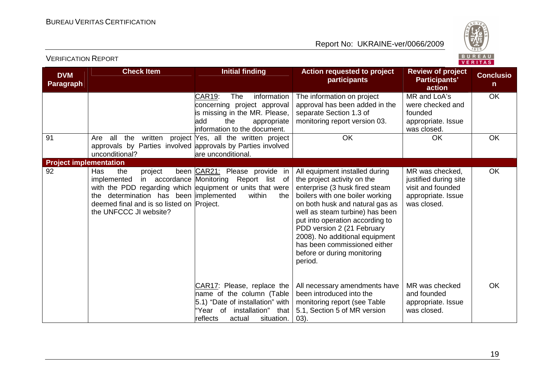

| <b>DVM</b><br><b>Paragraph</b> | <b>Check Item</b>                                                                                                                                                                                                  | <b>Initial finding</b>                                                                                                                                               | <b>Action requested to project</b><br>participants                                                                                                                                                                                                                                                                                                                                    | <b>Review of project</b><br>Participants'<br>action                                                | <b>Conclusio</b><br>n. |
|--------------------------------|--------------------------------------------------------------------------------------------------------------------------------------------------------------------------------------------------------------------|----------------------------------------------------------------------------------------------------------------------------------------------------------------------|---------------------------------------------------------------------------------------------------------------------------------------------------------------------------------------------------------------------------------------------------------------------------------------------------------------------------------------------------------------------------------------|----------------------------------------------------------------------------------------------------|------------------------|
|                                |                                                                                                                                                                                                                    | CAR19:<br><b>The</b><br>information<br>concerning project approval<br>is missing in the MR. Please,<br>add<br>the<br>appropriate<br>information to the document.     | The information on project<br>approval has been added in the<br>separate Section 1.3 of<br>monitoring report version 03.                                                                                                                                                                                                                                                              | MR and LoA's<br>were checked and<br>founded<br>appropriate. Issue<br>was closed.                   | OK                     |
| 91                             | Are all<br>approvals by Parties involved approvals by Parties involved<br>unconditional?                                                                                                                           | the written project Yes, all the written project<br>are unconditional.                                                                                               | OK                                                                                                                                                                                                                                                                                                                                                                                    | <b>OK</b>                                                                                          | OK                     |
| <b>Project implementation</b>  |                                                                                                                                                                                                                    |                                                                                                                                                                      |                                                                                                                                                                                                                                                                                                                                                                                       |                                                                                                    |                        |
| 92                             | the<br>Has<br>project<br>implemented<br>with the PDD regarding which equipment or units that were<br>the determination has been implemented<br>deemed final and is so listed on Project.<br>the UNFCCC JI website? | been CAR21: Please provide in<br>in accordance Monitoring Report list of<br>within<br>the                                                                            | All equipment installed during<br>the project activity on the<br>enterprise (3 husk fired steam<br>boilers with one boiler working<br>on both husk and natural gas as<br>well as steam turbine) has been<br>put into operation according to<br>PDD version 2 (21 February<br>2008). No additional equipment<br>has been commissioned either<br>before or during monitoring<br>period. | MR was checked,<br>justified during site<br>visit and founded<br>appropriate. Issue<br>was closed. | <b>OK</b>              |
|                                |                                                                                                                                                                                                                    | CAR17: Please, replace the<br>name of the column (Table<br>5.1) "Date of installation" with<br>'Year of<br>installation"<br>that<br>reflects<br>actual<br>situation. | All necessary amendments have<br>been introduced into the<br>monitoring report (see Table<br>5.1, Section 5 of MR version<br>(03)                                                                                                                                                                                                                                                     | MR was checked<br>and founded<br>appropriate. Issue<br>was closed.                                 | <b>OK</b>              |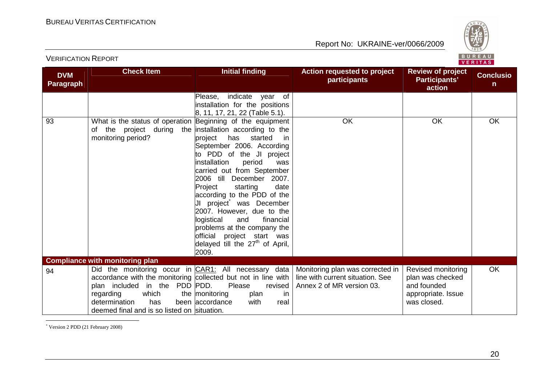

| <b>DVM</b><br><b>Paragraph</b> | <b>Check Item</b>                                                                                                                                                                           | <b>Initial finding</b>                                                                                                                                                                                                                                                                                                                                                                                                                                                | <b>Action requested to project</b><br><b>participants</b>                                                                                                 | <b>Review of project</b><br>Participants'<br>action                                        | <b>Conclusio</b><br>$\mathsf{n}$ |
|--------------------------------|---------------------------------------------------------------------------------------------------------------------------------------------------------------------------------------------|-----------------------------------------------------------------------------------------------------------------------------------------------------------------------------------------------------------------------------------------------------------------------------------------------------------------------------------------------------------------------------------------------------------------------------------------------------------------------|-----------------------------------------------------------------------------------------------------------------------------------------------------------|--------------------------------------------------------------------------------------------|----------------------------------|
|                                |                                                                                                                                                                                             | indicate<br>year of<br>Please,<br>installation for the positions<br>8, 11, 17, 21, 22 (Table 5.1).                                                                                                                                                                                                                                                                                                                                                                    |                                                                                                                                                           |                                                                                            |                                  |
| 93                             | What is the status of operation Beginning of the equipment<br>of the project during the installation according to the<br>monitoring period?                                                 | started<br>project<br>has<br>- in<br>September 2006. According<br>to PDD of the JI project<br>installation<br>period<br>was<br>carried out from September<br>2006 till<br>December 2007.<br>Project<br>date<br>starting<br>according to the PDD of the<br>JI project was December<br>2007. However, due to the<br>logistical<br>financial<br>and<br>problems at the company the<br>official project start was<br>delayed till the 27 <sup>th</sup> of April,<br>2009. | OK                                                                                                                                                        | <b>OK</b>                                                                                  | OK                               |
|                                | <b>Compliance with monitoring plan</b>                                                                                                                                                      |                                                                                                                                                                                                                                                                                                                                                                                                                                                                       |                                                                                                                                                           |                                                                                            |                                  |
| 94                             | accordance with the monitoring collected but not in line with<br>plan included in the PDD PDD.<br>which<br>regarding<br>determination<br>has<br>deemed final and is so listed on situation. | Please<br>revised<br>the monitoring<br>plan<br>in<br>been accordance<br>with<br>real                                                                                                                                                                                                                                                                                                                                                                                  | Did the monitoring occur in $CAR1$ : All necessary data Monitoring plan was corrected in<br>line with current situation. See<br>Annex 2 of MR version 03. | Revised monitoring<br>plan was checked<br>and founded<br>appropriate. Issue<br>was closed. | <b>OK</b>                        |

VERIFICATION REPORT

\* Version 2 PDD (21 February 2008)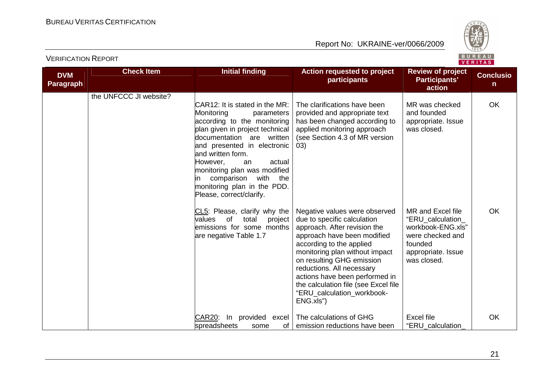

|                                | $V = I1 I R.9$         |                                                                                                                                                                                                                                                                                                                                                                         |                                                                                                                                                                                                                                                                                                                                                                          |                                                                                                                                 |                                  |
|--------------------------------|------------------------|-------------------------------------------------------------------------------------------------------------------------------------------------------------------------------------------------------------------------------------------------------------------------------------------------------------------------------------------------------------------------|--------------------------------------------------------------------------------------------------------------------------------------------------------------------------------------------------------------------------------------------------------------------------------------------------------------------------------------------------------------------------|---------------------------------------------------------------------------------------------------------------------------------|----------------------------------|
| <b>DVM</b><br><b>Paragraph</b> | <b>Check Item</b>      | <b>Initial finding</b>                                                                                                                                                                                                                                                                                                                                                  | <b>Action requested to project</b><br>participants                                                                                                                                                                                                                                                                                                                       | <b>Review of project</b><br><b>Participants'</b><br>action                                                                      | <b>Conclusio</b><br>$\mathsf{n}$ |
|                                | the UNFCCC JI website? | CAR12: It is stated in the MR:<br>Monitoring<br>parameters<br>according to the monitoring<br>plan given in project technical<br>documentation are written<br>and presented in electronic<br>and written form.<br>However,<br>actual<br>an<br>monitoring plan was modified<br>comparison<br>with<br>the<br>ın<br>monitoring plan in the PDD.<br>Please, correct/clarify. | The clarifications have been<br>provided and appropriate text<br>has been changed according to<br>applied monitoring approach<br>(see Section 4.3 of MR version<br>(03)                                                                                                                                                                                                  | MR was checked<br>and founded<br>appropriate. Issue<br>was closed.                                                              | <b>OK</b>                        |
|                                |                        | CL5: Please, clarify why the<br>values<br><b>of</b><br>total<br>project<br>emissions for some months<br>are negative Table 1.7                                                                                                                                                                                                                                          | Negative values were observed<br>due to specific calculation<br>approach. After revision the<br>approach have been modified<br>according to the applied<br>monitoring plan without impact<br>on resulting GHG emission<br>reductions. All necessary<br>actions have been performed in<br>the calculation file (see Excel file<br>"ERU_calculation_workbook-<br>ENG.xls") | MR and Excel file<br>"ERU_calculation_<br>workbook-ENG.xls"<br>were checked and<br>founded<br>appropriate. Issue<br>was closed. | <b>OK</b>                        |
|                                |                        | <b>CAR20:</b><br>provided<br>In<br>excel<br>spreadsheets<br>some<br>οf                                                                                                                                                                                                                                                                                                  | The calculations of GHG<br>emission reductions have been                                                                                                                                                                                                                                                                                                                 | Excel file<br>"ERU_calculation_                                                                                                 | OK                               |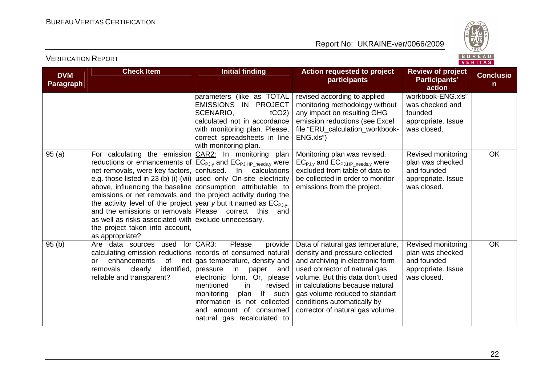

|  |  | - 12 - | יונ |  |  |  |
|--|--|--------|-----|--|--|--|
|  |  |        |     |  |  |  |

| <b>DVM</b><br><b>Paragraph</b> | <b>Check Item</b>                                                                                                                                                                                                                                                                                                                                                                                                                                                                                                                                                                                                                    | <b>Initial finding</b>                                                                                                                                                                                                                                                    | <b>Action requested to project</b><br>participants                                                                                                                                                                                                                                                                  | <b>Review of project</b><br>Participants'<br>action                                        | <b>Conclusio</b><br>n |
|--------------------------------|--------------------------------------------------------------------------------------------------------------------------------------------------------------------------------------------------------------------------------------------------------------------------------------------------------------------------------------------------------------------------------------------------------------------------------------------------------------------------------------------------------------------------------------------------------------------------------------------------------------------------------------|---------------------------------------------------------------------------------------------------------------------------------------------------------------------------------------------------------------------------------------------------------------------------|---------------------------------------------------------------------------------------------------------------------------------------------------------------------------------------------------------------------------------------------------------------------------------------------------------------------|--------------------------------------------------------------------------------------------|-----------------------|
|                                |                                                                                                                                                                                                                                                                                                                                                                                                                                                                                                                                                                                                                                      | parameters (like as TOTAL<br>EMISSIONS IN PROJECT<br>SCENARIO,<br>$tCO2$ )<br>calculated not in accordance<br>with monitoring plan. Please,<br>correct spreadsheets in line<br>with monitoring plan.                                                                      | revised according to applied<br>monitoring methodology without<br>any impact on resulting GHG<br>emission reductions (see Excel<br>file "ERU_calculation_workbook-<br>ENG.xls")                                                                                                                                     | workbook-ENG.xls"<br>was checked and<br>founded<br>appropriate. Issue<br>was closed.       |                       |
| 95(a)                          | For calculating the emission CAR2: In monitoring plan<br>reductions or enhancements of $[EC_{PJ,y}$ and $EC_{PJ,HP\_needs,y}$ were<br>net removals, were key factors, confused.<br>e.g. those listed in 23 (b) (i)-(vii) used only On-site electricity<br>above, influencing the baseline consumption attributable to<br>emissions or net removals and the project activity during the<br>the activity level of the project year y but it named as $EC_{PJ,V}$ .<br>and the emissions or removals Please correct this<br>as well as risks associated with exclude unnecessary.<br>the project taken into account,<br>as appropriate? | In calculations<br>and                                                                                                                                                                                                                                                    | Monitoring plan was revised.<br>$EC_{PJ,y}$ and $EC_{PJ,HP\_needs,y}$ were<br>excluded from table of data to<br>be collected in order to monitor<br>emissions from the project.                                                                                                                                     | Revised monitoring<br>plan was checked<br>and founded<br>appropriate. Issue<br>was closed. | <b>OK</b>             |
| 95(b)                          | Are data sources used for CAR3:<br>calculating emission reductions records of consumed natural<br>of<br>enhancements<br>or<br>identified, pressure<br>removals<br>clearly<br>reliable and transparent?                                                                                                                                                                                                                                                                                                                                                                                                                               | Please<br>provide<br>net gas temperature, density and<br>in<br>paper<br>and<br>form. Or, please<br>electronic<br>lmentioned<br>revised<br>in<br>lf<br>monitoring<br>plan<br>such<br>information is not collected<br>and amount of consumed<br>natural gas recalculated to | Data of natural gas temperature,<br>density and pressure collected<br>and archiving in electronic form<br>used corrector of natural gas<br>volume. But this data don't used<br>in calculations because natural<br>gas volume reduced to standart<br>conditions automatically by<br>corrector of natural gas volume. | Revised monitoring<br>plan was checked<br>and founded<br>appropriate. Issue<br>was closed. | <b>OK</b>             |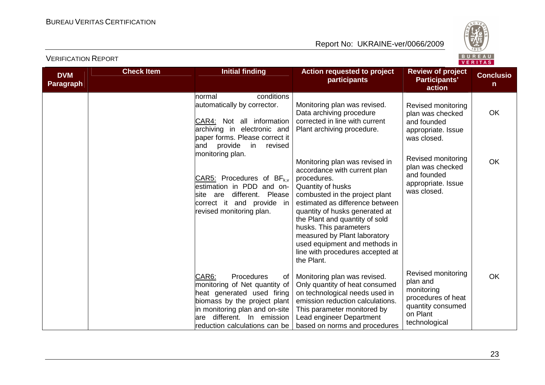

|                                |                   |                                                                                                                                                                                                                              |                                                                                                                                                                                                                                                                                                                                                                                          |                                                                                                                      | <b>VENTIAS</b>        |
|--------------------------------|-------------------|------------------------------------------------------------------------------------------------------------------------------------------------------------------------------------------------------------------------------|------------------------------------------------------------------------------------------------------------------------------------------------------------------------------------------------------------------------------------------------------------------------------------------------------------------------------------------------------------------------------------------|----------------------------------------------------------------------------------------------------------------------|-----------------------|
| <b>DVM</b><br><b>Paragraph</b> | <b>Check Item</b> | <b>Initial finding</b>                                                                                                                                                                                                       | <b>Action requested to project</b><br>participants                                                                                                                                                                                                                                                                                                                                       | <b>Review of project</b><br>Participants'<br>action                                                                  | <b>Conclusio</b><br>n |
|                                |                   | conditions<br>Inormal<br>automatically by corrector.<br>CAR4: Not all information<br>archiving in electronic and<br>paper forms. Please correct it<br>provide<br>in<br>revised<br>and                                        | Monitoring plan was revised.<br>Data archiving procedure<br>corrected in line with current<br>Plant archiving procedure.                                                                                                                                                                                                                                                                 | Revised monitoring<br>plan was checked<br>and founded<br>appropriate. Issue<br>was closed.                           | <b>OK</b>             |
|                                |                   | monitoring plan.<br>CAR5: Procedures of $BF_{k,v}$<br>estimation in PDD and on-<br>site are different. Please<br>correct it and provide in<br>revised monitoring plan.                                                       | Monitoring plan was revised in<br>accordance with current plan<br>procedures.<br>Quantity of husks<br>combusted in the project plant<br>estimated as difference between<br>quantity of husks generated at<br>the Plant and quantity of sold<br>husks. This parameters<br>measured by Plant laboratory<br>used equipment and methods in<br>line with procedures accepted at<br>the Plant. | Revised monitoring<br>plan was checked<br>and founded<br>appropriate. Issue<br>was closed.                           | <b>OK</b>             |
|                                |                   | CAR6:<br>Procedures<br>of<br>monitoring of Net quantity of<br>heat generated used firing<br>biomass by the project plant<br>in monitoring plan and on-site<br>different. In emission<br>are<br>reduction calculations can be | Monitoring plan was revised.<br>Only quantity of heat consumed<br>on technological needs used in<br>emission reduction calculations.<br>This parameter monitored by<br>Lead engineer Department<br>based on norms and procedures                                                                                                                                                         | Revised monitoring<br>plan and<br>monitoring<br>procedures of heat<br>quantity consumed<br>on Plant<br>technological | <b>OK</b>             |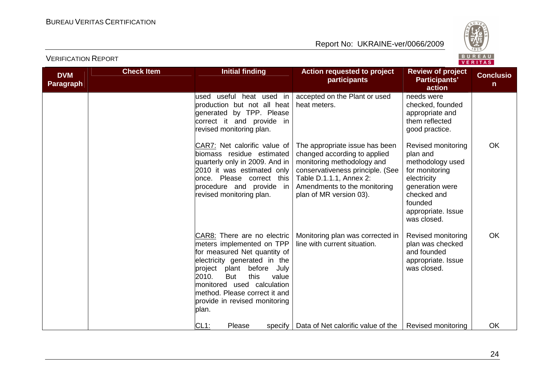

| <b>DVM</b><br><b>Paragraph</b> | <b>Check Item</b> | <b>Initial finding</b>                                                                                                                                                                                                                                                                                          | <b>Action requested to project</b><br>participants                                                                                                                                                                     | <b>Review of project</b><br>Participants'<br>action                                                                                                                   | <b>Conclusio</b><br>n. |
|--------------------------------|-------------------|-----------------------------------------------------------------------------------------------------------------------------------------------------------------------------------------------------------------------------------------------------------------------------------------------------------------|------------------------------------------------------------------------------------------------------------------------------------------------------------------------------------------------------------------------|-----------------------------------------------------------------------------------------------------------------------------------------------------------------------|------------------------|
|                                |                   | lused useful heat used in<br>production but not all heat<br>generated by TPP. Please<br>correct it and provide in<br>revised monitoring plan.                                                                                                                                                                   | accepted on the Plant or used<br>heat meters.                                                                                                                                                                          | needs were<br>checked, founded<br>appropriate and<br>them reflected<br>good practice.                                                                                 |                        |
|                                |                   | CAR7: Net calorific value of<br>biomass residue estimated<br>quarterly only in 2009. And in<br>2010 it was estimated only<br>once. Please correct this<br>procedure and provide<br>in<br>revised monitoring plan.                                                                                               | The appropriate issue has been<br>changed according to applied<br>monitoring methodology and<br>conservativeness principle. (See<br>Table D.1.1.1, Annex 2:<br>Amendments to the monitoring<br>plan of MR version 03). | Revised monitoring<br>plan and<br>methodology used<br>for monitoring<br>electricity<br>generation were<br>checked and<br>founded<br>appropriate. Issue<br>was closed. | OK                     |
|                                |                   | CAR8: There are no electric<br>meters implemented on TPP<br>for measured Net quantity of<br>electricity generated in the<br>before<br>project<br>plant<br>July<br>2010.<br><b>But</b><br>this<br>value<br>monitored used calculation<br>method. Please correct it and<br>provide in revised monitoring<br>plan. | Monitoring plan was corrected in<br>line with current situation.                                                                                                                                                       | Revised monitoring<br>plan was checked<br>and founded<br>appropriate. Issue<br>was closed.                                                                            | OK                     |
|                                |                   | $CL1$ :<br>Please<br>specify                                                                                                                                                                                                                                                                                    | Data of Net calorific value of the                                                                                                                                                                                     | Revised monitoring                                                                                                                                                    | OK                     |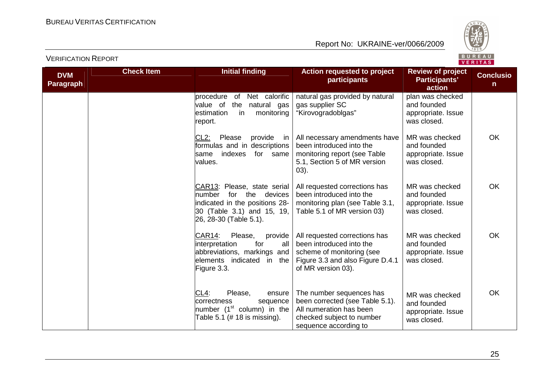

|                                |                   |                                                                                                                                                     |                                                                                                                                                  |                                                                      | . <i>.</i>                       |
|--------------------------------|-------------------|-----------------------------------------------------------------------------------------------------------------------------------------------------|--------------------------------------------------------------------------------------------------------------------------------------------------|----------------------------------------------------------------------|----------------------------------|
| <b>DVM</b><br><b>Paragraph</b> | <b>Check Item</b> | <b>Initial finding</b>                                                                                                                              | Action requested to project<br>participants                                                                                                      | <b>Review of project</b><br>Participants'<br>action                  | <b>Conclusio</b><br>$\mathsf{n}$ |
|                                |                   | procedure of<br>Net calorific<br>value of<br>the natural gas<br>estimation<br>in<br>monitoring<br>report.                                           | natural gas provided by natural<br>gas supplier SC<br>"Kirovogradoblgas"                                                                         | plan was checked<br>and founded<br>appropriate. Issue<br>was closed. |                                  |
|                                |                   | $CL2$ :<br>Please<br>provide in<br>formulas and in descriptions<br>indexes for same<br>lsame<br>values.                                             | All necessary amendments have<br>been introduced into the<br>monitoring report (see Table<br>5.1, Section 5 of MR version<br>$03)$ .             | MR was checked<br>and founded<br>appropriate. Issue<br>was closed.   | <b>OK</b>                        |
|                                |                   | CAR13: Please, state serial<br>for the devices<br>lnumber<br>indicated in the positions 28-<br>30 (Table 3.1) and 15, 19,<br>26, 28-30 (Table 5.1). | All requested corrections has<br>been introduced into the<br>monitoring plan (see Table 3.1,<br>Table 5.1 of MR version 03)                      | MR was checked<br>and founded<br>appropriate. Issue<br>was closed.   | <b>OK</b>                        |
|                                |                   | CAR14:<br>Please,<br>provide<br>interpretation<br>for<br>all<br>abbreviations, markings and<br>elements indicated in the<br>Figure 3.3.             | All requested corrections has<br>been introduced into the<br>scheme of monitoring (see<br>Figure 3.3 and also Figure D.4.1<br>of MR version 03). | MR was checked<br>and founded<br>appropriate. Issue<br>was closed.   | OK                               |
|                                |                   | CL4:<br>Please,<br>ensure<br>correctness<br>sequence<br>number (1 <sup>st</sup> column) in the<br>Table 5.1 (# 18 is missing).                      | The number sequences has<br>been corrected (see Table 5.1).<br>All numeration has been<br>checked subject to number<br>sequence according to     | MR was checked<br>and founded<br>appropriate. Issue<br>was closed.   | OK                               |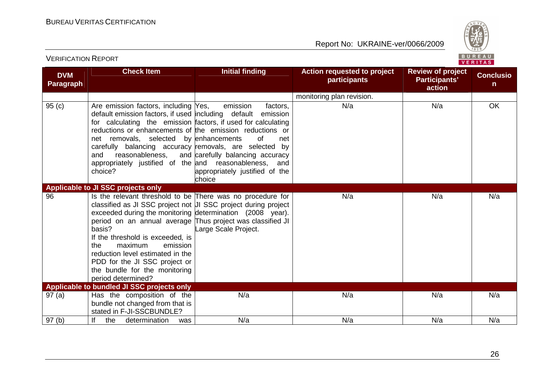VERIFICATION REPORT

Report No: UKRAINE-ver/0066/2009



| <b>DVM</b><br><b>Paragraph</b> | <b>Check Item</b>                                                                                                                                                                                                                                                                                                                                                                                                                                               | <b>Initial finding</b>                                                                                            | Action requested to project<br>participants | <b>Review of project</b><br>Participants'<br>action | <b>Conclusio</b><br>n |
|--------------------------------|-----------------------------------------------------------------------------------------------------------------------------------------------------------------------------------------------------------------------------------------------------------------------------------------------------------------------------------------------------------------------------------------------------------------------------------------------------------------|-------------------------------------------------------------------------------------------------------------------|---------------------------------------------|-----------------------------------------------------|-----------------------|
|                                |                                                                                                                                                                                                                                                                                                                                                                                                                                                                 |                                                                                                                   | monitoring plan revision.                   |                                                     |                       |
| 95(c)                          | Are emission factors, including Yes,<br>default emission factors, if used including default emission<br>for calculating the emission factors, if used for calculating<br>reductions or enhancements of the emission reductions or<br>net removals, selected by enhancements<br>carefully balancing accuracy removals, are selected by<br>and<br>reasonableness,<br>appropriately justified of the and reasonableness, and<br>choice?                            | emission<br>factors,<br>0f<br>net<br>and carefully balancing accuracy<br>appropriately justified of the<br>choice | N/a                                         | N/a                                                 | OK                    |
|                                | Applicable to JI SSC projects only                                                                                                                                                                                                                                                                                                                                                                                                                              |                                                                                                                   |                                             |                                                     |                       |
| 96                             | Is the relevant threshold to be There was no procedure for<br>classified as JI SSC project not UI SSC project during project<br>exceeded during the monitoring determination (2008 year).<br>period on an annual average Thus project was classified JI<br>basis?<br>If the threshold is exceeded, is<br>maximum<br>emission<br>the<br>reduction level estimated in the<br>PDD for the JI SSC project or<br>the bundle for the monitoring<br>period determined? | arge Scale Project.                                                                                               | N/a                                         | N/a                                                 | N/a                   |
|                                | Applicable to bundled JI SSC projects only                                                                                                                                                                                                                                                                                                                                                                                                                      |                                                                                                                   |                                             |                                                     |                       |
| 97(a)                          | Has the composition of the<br>bundle not changed from that is<br>stated in F-JI-SSCBUNDLE?                                                                                                                                                                                                                                                                                                                                                                      | N/a                                                                                                               | N/a                                         | N/a                                                 | N/a                   |
| 97(b)                          | lf<br>the<br>determination<br>was                                                                                                                                                                                                                                                                                                                                                                                                                               | N/a                                                                                                               | N/a                                         | N/a                                                 | N/a                   |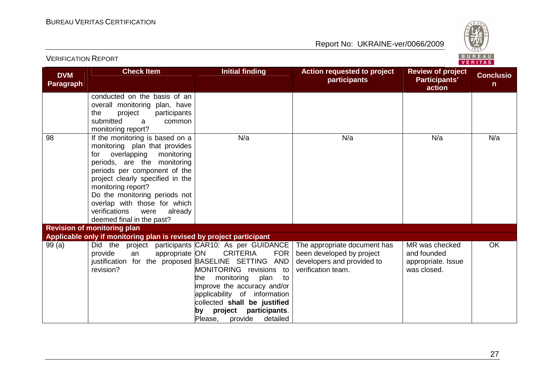

|                                | <b>Check Item</b>                                                    | <b>Initial finding</b>              | <b>Action requested to project</b> | <b>Review of project</b> |                                  |
|--------------------------------|----------------------------------------------------------------------|-------------------------------------|------------------------------------|--------------------------|----------------------------------|
| <b>DVM</b><br><b>Paragraph</b> |                                                                      |                                     | participants                       | <b>Participants'</b>     | <b>Conclusio</b><br>$\mathsf{n}$ |
|                                |                                                                      |                                     |                                    | action                   |                                  |
|                                | conducted on the basis of an                                         |                                     |                                    |                          |                                  |
|                                | overall monitoring plan, have                                        |                                     |                                    |                          |                                  |
|                                | participants<br>the<br>project                                       |                                     |                                    |                          |                                  |
|                                | submitted<br>common<br>a                                             |                                     |                                    |                          |                                  |
|                                | monitoring report?                                                   |                                     |                                    |                          |                                  |
| 98                             | If the monitoring is based on a                                      | N/a                                 | N/a                                | N/a                      | N/a                              |
|                                | monitoring plan that provides                                        |                                     |                                    |                          |                                  |
|                                | overlapping<br>monitoring<br>for                                     |                                     |                                    |                          |                                  |
|                                | periods, are the monitoring                                          |                                     |                                    |                          |                                  |
|                                | periods per component of the                                         |                                     |                                    |                          |                                  |
|                                | project clearly specified in the                                     |                                     |                                    |                          |                                  |
|                                | monitoring report?<br>Do the monitoring periods not                  |                                     |                                    |                          |                                  |
|                                | overlap with those for which                                         |                                     |                                    |                          |                                  |
|                                | verifications<br>were<br>already                                     |                                     |                                    |                          |                                  |
|                                | deemed final in the past?                                            |                                     |                                    |                          |                                  |
|                                | <b>Revision of monitoring plan</b>                                   |                                     |                                    |                          |                                  |
|                                | Applicable only if monitoring plan is revised by project participant |                                     |                                    |                          |                                  |
| 99(a)                          | Did the<br>project                                                   | participants CAR10: As per GUIDANCE | The appropriate document has       | MR was checked           | OK                               |
|                                | appropriate ON<br>provide<br>an                                      | <b>CRITERIA</b><br><b>FOR</b>       | been developed by project          | and founded              |                                  |
|                                | justification for the proposed BASELINE SETTING                      | <b>AND</b>                          | developers and provided to         | appropriate. Issue       |                                  |
|                                | revision?                                                            | MONITORING revisions to             | verification team.                 | was closed.              |                                  |
|                                |                                                                      | monitoring<br>plan<br>the<br>to     |                                    |                          |                                  |
|                                |                                                                      | improve the accuracy and/or         |                                    |                          |                                  |
|                                |                                                                      | applicability of information        |                                    |                          |                                  |
|                                |                                                                      | collected shall be justified        |                                    |                          |                                  |
|                                |                                                                      | project<br>participants.<br>by      |                                    |                          |                                  |
|                                |                                                                      | Please,<br>detailed<br>provide      |                                    |                          |                                  |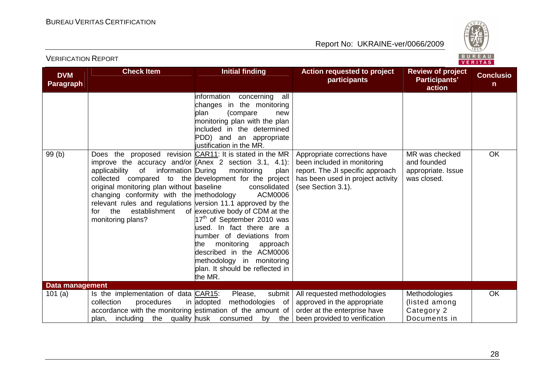

| <b>DVM</b>      | <b>Check Item</b>                                                                                                                                                                                                                                                                                                                                                                            | <b>Initial finding</b>                                                                                                                                                                                                                                                                                                                                                                                                                                                                                                                                                                                   | Action requested to project<br>participants                                                                                                                | <b>Review of project</b><br>Participants'                          | <b>Conclusio</b> |
|-----------------|----------------------------------------------------------------------------------------------------------------------------------------------------------------------------------------------------------------------------------------------------------------------------------------------------------------------------------------------------------------------------------------------|----------------------------------------------------------------------------------------------------------------------------------------------------------------------------------------------------------------------------------------------------------------------------------------------------------------------------------------------------------------------------------------------------------------------------------------------------------------------------------------------------------------------------------------------------------------------------------------------------------|------------------------------------------------------------------------------------------------------------------------------------------------------------|--------------------------------------------------------------------|------------------|
| Paragraph       |                                                                                                                                                                                                                                                                                                                                                                                              |                                                                                                                                                                                                                                                                                                                                                                                                                                                                                                                                                                                                          |                                                                                                                                                            | action                                                             | $\mathsf{n}$     |
| 99(b)           | Does the<br>improve the accuracy and/or $\Lambda$ nex 2 section 3.1, 4.1):<br>applicability<br>information During<br>of<br>collected compared to the development for the project<br>original monitoring plan without baseline<br>changing conformity with the methodology<br>relevant rules and regulations version 11.1 approved by the<br>establishment<br>the<br>for<br>monitoring plans? | information<br>concerning<br>all<br>changes in the monitoring<br>plan<br>(compare<br>new<br>monitoring plan with the plan<br>included in the determined<br>PDD) and an appropriate<br>justification in the MR.<br>proposed revision CAR11: It is stated in the MR<br>monitoring<br>plan<br>consolidated<br><b>ACM0006</b><br>of executive body of CDM at the<br>17 <sup>th</sup> of September 2010 was<br>used. In fact there are a<br>number of deviations from<br>monitoring<br>the<br>approach<br>described in the ACM0006<br>methodology in monitoring<br>plan. It should be reflected in<br>the MR. | Appropriate corrections have<br>been included in monitoring<br>report. The JI specific approach<br>has been used in project activity<br>(see Section 3.1). | MR was checked<br>and founded<br>appropriate. Issue<br>was closed. | OK               |
| Data management |                                                                                                                                                                                                                                                                                                                                                                                              |                                                                                                                                                                                                                                                                                                                                                                                                                                                                                                                                                                                                          |                                                                                                                                                            |                                                                    |                  |
| 101(a)          | Is the implementation of data CAR15:<br>collection<br>procedures<br>accordance with the monitoring estimation of the amount of<br>plan, including the quality husk                                                                                                                                                                                                                           | submit<br>Please,<br>in adopted<br>methodologies of<br>consumed<br>by<br>the                                                                                                                                                                                                                                                                                                                                                                                                                                                                                                                             | All requested methodologies<br>approved in the appropriate<br>order at the enterprise have<br>been provided to verification                                | Methodologies<br>(listed among<br>Category 2<br>Documents in       | <b>OK</b>        |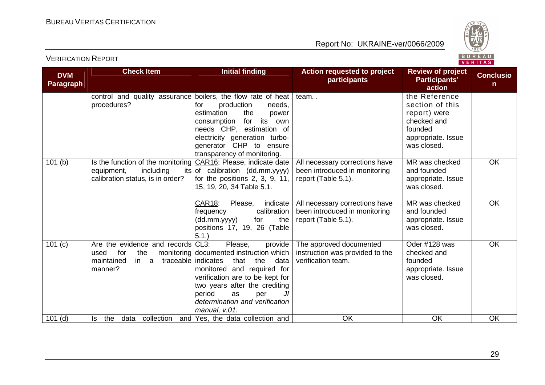

| <b>DVM</b>       | <b>Check Item</b>                                                                                                             | <b>Initial finding</b>                                                                                                                                                                                                                                                 | <b>Action requested to project</b>                                                     | <b>Review of project</b>                                                                                        | <b>Conclusio</b> |
|------------------|-------------------------------------------------------------------------------------------------------------------------------|------------------------------------------------------------------------------------------------------------------------------------------------------------------------------------------------------------------------------------------------------------------------|----------------------------------------------------------------------------------------|-----------------------------------------------------------------------------------------------------------------|------------------|
| <b>Paragraph</b> |                                                                                                                               |                                                                                                                                                                                                                                                                        | participants                                                                           | Participants'<br>action                                                                                         | n.               |
|                  | control and quality assurance boilers, the flow rate of heat<br>procedures?                                                   | production<br>for<br>needs,<br>estimation<br>the<br>power<br>for its<br>consumption<br>own<br>needs CHP, estimation of<br>electricity generation turbo-<br>generator CHP to ensure                                                                                     | team                                                                                   | the Reference<br>section of this<br>report) were<br>checked and<br>founded<br>appropriate. Issue<br>was closed. |                  |
| 101(b)           | Is the function of the monitoring CAR16: Please, indicate date<br>equipment,<br>including<br>calibration status, is in order? | transparency of monitoring.<br>its of calibration (dd.mm.yyyy)<br>for the positions $2, 3, 9, 11,$<br>15, 19, 20, 34 Table 5.1.                                                                                                                                        | All necessary corrections have<br>been introduced in monitoring<br>report (Table 5.1). | MR was checked<br>and founded<br>appropriate. Issue<br>was closed.                                              | OK               |
|                  |                                                                                                                               | <b>CAR18:</b><br>Please,<br>indicate<br>calibration<br>frequency<br>the<br>(dd.mm.yyyy)<br>for<br>positions 17, 19, 26 (Table<br>5.1.                                                                                                                                  | All necessary corrections have<br>been introduced in monitoring<br>report (Table 5.1). | MR was checked<br>and founded<br>appropriate. Issue<br>was closed.                                              | OK               |
| 101 (c)          | Are the evidence and records CL3:<br>for<br>the<br>used<br>traceable indicates<br>a<br>maintained<br>in l<br>manner?          | provide<br>Please,<br>monitoring documented instruction which<br>that<br>the<br>data<br>monitored and required for<br>verification are to be kept for<br>two years after the crediting<br>period<br>JI<br>as<br>per<br>determination and verification<br>manual, v.01. | The approved documented<br>instruction was provided to the<br>verification team.       | Oder #128 was<br>checked and<br>founded<br>appropriate. Issue<br>was closed.                                    | OK               |
| $101$ (d)        | Is the data collection                                                                                                        | and Yes, the data collection and                                                                                                                                                                                                                                       | <b>OK</b>                                                                              | <b>OK</b>                                                                                                       | OK               |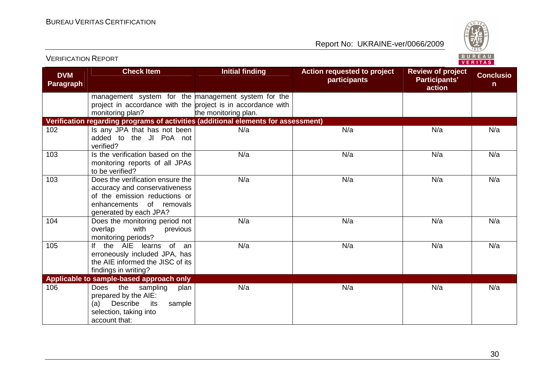VERIFICATION REPORT

Report No: UKRAINE-ver/0066/2009



| <b>DVM</b><br>Paragraph | <b>Check Item</b>                                                                                                                                        | <b>Initial finding</b> | Action requested to project<br>participants | <b>Review of project</b><br>Participants'<br>action | <b>Conclusio</b><br>$\mathsf{n}$ |
|-------------------------|----------------------------------------------------------------------------------------------------------------------------------------------------------|------------------------|---------------------------------------------|-----------------------------------------------------|----------------------------------|
|                         | management system for the management system for the<br>project in accordance with the project is in accordance with<br>monitoring plan?                  | the monitoring plan.   |                                             |                                                     |                                  |
|                         | Verification regarding programs of activities (additional elements for assessment)                                                                       |                        |                                             |                                                     |                                  |
| 102                     | Is any JPA that has not been<br>added to the JI PoA not<br>verified?                                                                                     | N/a                    | N/a                                         | N/a                                                 | N/a                              |
| 103                     | Is the verification based on the<br>monitoring reports of all JPAs<br>to be verified?                                                                    | N/a                    | N/a                                         | N/a                                                 | N/a                              |
| 103                     | Does the verification ensure the<br>accuracy and conservativeness<br>of the emission reductions or<br>enhancements of removals<br>generated by each JPA? | N/a                    | N/a                                         | N/a                                                 | N/a                              |
| 104                     | Does the monitoring period not<br>overlap<br>with<br>previous<br>monitoring periods?                                                                     | N/a                    | N/a                                         | N/a                                                 | N/a                              |
| 105                     | If the AIE learns of an<br>erroneously included JPA, has<br>the AIE informed the JISC of its<br>findings in writing?                                     | N/a                    | N/a                                         | N/a                                                 | N/a                              |
|                         | Applicable to sample-based approach only                                                                                                                 |                        |                                             |                                                     |                                  |
| 106                     | Does the sampling<br>plan<br>prepared by the AIE:<br>Describe<br>its<br>sample<br>(a)<br>selection, taking into<br>account that:                         | N/a                    | N/a                                         | N/a                                                 | N/a                              |

30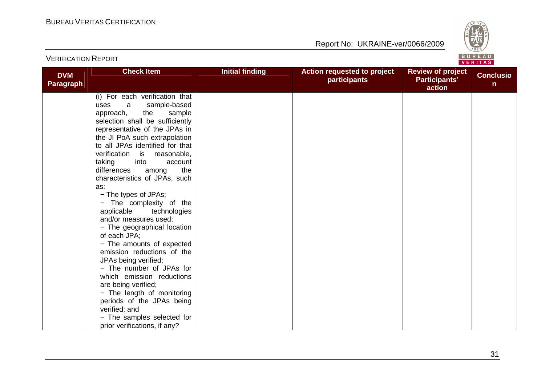VERIFICATION REPORT

Report No: UKRAINE-ver/0066/2009



| <b>DVM</b><br>Paragraph | <b>Check Item</b>                                                | <b>Initial finding</b> | Action requested to project<br>participants | <b>Review of project</b><br>Participants'<br>action | <b>Conclusio</b><br>n |
|-------------------------|------------------------------------------------------------------|------------------------|---------------------------------------------|-----------------------------------------------------|-----------------------|
|                         | (i) For each verification that                                   |                        |                                             |                                                     |                       |
|                         | sample-based<br>uses<br>a                                        |                        |                                             |                                                     |                       |
|                         | sample<br>the<br>approach,                                       |                        |                                             |                                                     |                       |
|                         | selection shall be sufficiently<br>representative of the JPAs in |                        |                                             |                                                     |                       |
|                         | the JI PoA such extrapolation                                    |                        |                                             |                                                     |                       |
|                         | to all JPAs identified for that                                  |                        |                                             |                                                     |                       |
|                         | verification<br>is<br>reasonable,                                |                        |                                             |                                                     |                       |
|                         | taking<br>into<br>account                                        |                        |                                             |                                                     |                       |
|                         | the<br>differences<br>among                                      |                        |                                             |                                                     |                       |
|                         | characteristics of JPAs, such                                    |                        |                                             |                                                     |                       |
|                         | as:                                                              |                        |                                             |                                                     |                       |
|                         | - The types of JPAs;                                             |                        |                                             |                                                     |                       |
|                         | - The complexity of the<br>applicable<br>technologies            |                        |                                             |                                                     |                       |
|                         | and/or measures used;                                            |                        |                                             |                                                     |                       |
|                         | - The geographical location                                      |                        |                                             |                                                     |                       |
|                         | of each JPA;                                                     |                        |                                             |                                                     |                       |
|                         | - The amounts of expected                                        |                        |                                             |                                                     |                       |
|                         | emission reductions of the                                       |                        |                                             |                                                     |                       |
|                         | JPAs being verified;                                             |                        |                                             |                                                     |                       |
|                         | - The number of JPAs for                                         |                        |                                             |                                                     |                       |
|                         | which emission reductions                                        |                        |                                             |                                                     |                       |
|                         | are being verified;                                              |                        |                                             |                                                     |                       |
|                         | - The length of monitoring<br>periods of the JPAs being          |                        |                                             |                                                     |                       |
|                         | verified; and                                                    |                        |                                             |                                                     |                       |
|                         | - The samples selected for                                       |                        |                                             |                                                     |                       |
|                         | prior verifications, if any?                                     |                        |                                             |                                                     |                       |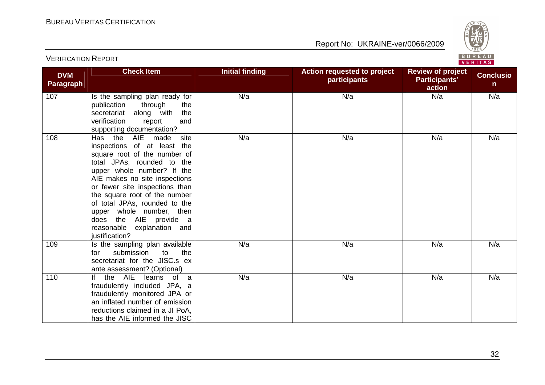

| <b>DVM</b>       | <b>Check Item</b>                                                                                                                                                                                                                                                                                                                                                                                 | <b>Initial finding</b> | <b>Action requested to project</b><br><b>participants</b> | <b>Review of project</b><br>Participants' | <b>Conclusio</b> |
|------------------|---------------------------------------------------------------------------------------------------------------------------------------------------------------------------------------------------------------------------------------------------------------------------------------------------------------------------------------------------------------------------------------------------|------------------------|-----------------------------------------------------------|-------------------------------------------|------------------|
| <b>Paragraph</b> |                                                                                                                                                                                                                                                                                                                                                                                                   |                        |                                                           | action                                    | n                |
| 107              | Is the sampling plan ready for<br>publication through<br>the<br>secretariat along with<br>the<br>verification<br>report<br>and<br>supporting documentation?                                                                                                                                                                                                                                       | N/a                    | N/a                                                       | N/a                                       | N/a              |
| 108              | Has the<br>AIE made<br>site<br>inspections of at least the<br>square root of the number of<br>total JPAs, rounded to the<br>upper whole number? If the<br>AIE makes no site inspections<br>or fewer site inspections than<br>the square root of the number<br>of total JPAs, rounded to the<br>upper whole number, then<br>does the AIE provide a<br>reasonable explanation and<br>justification? | N/a                    | N/a                                                       | N/a                                       | N/a              |
| 109              | Is the sampling plan available<br>to<br>the<br>submission<br>for<br>secretariat for the JISC.s ex<br>ante assessment? (Optional)                                                                                                                                                                                                                                                                  | N/a                    | N/a                                                       | N/a                                       | N/a              |
| 110              | If the AIE<br>learns of a<br>fraudulently included JPA, a<br>fraudulently monitored JPA or<br>an inflated number of emission<br>reductions claimed in a JI PoA,<br>has the AIE informed the JISC                                                                                                                                                                                                  | N/a                    | N/a                                                       | N/a                                       | N/a              |